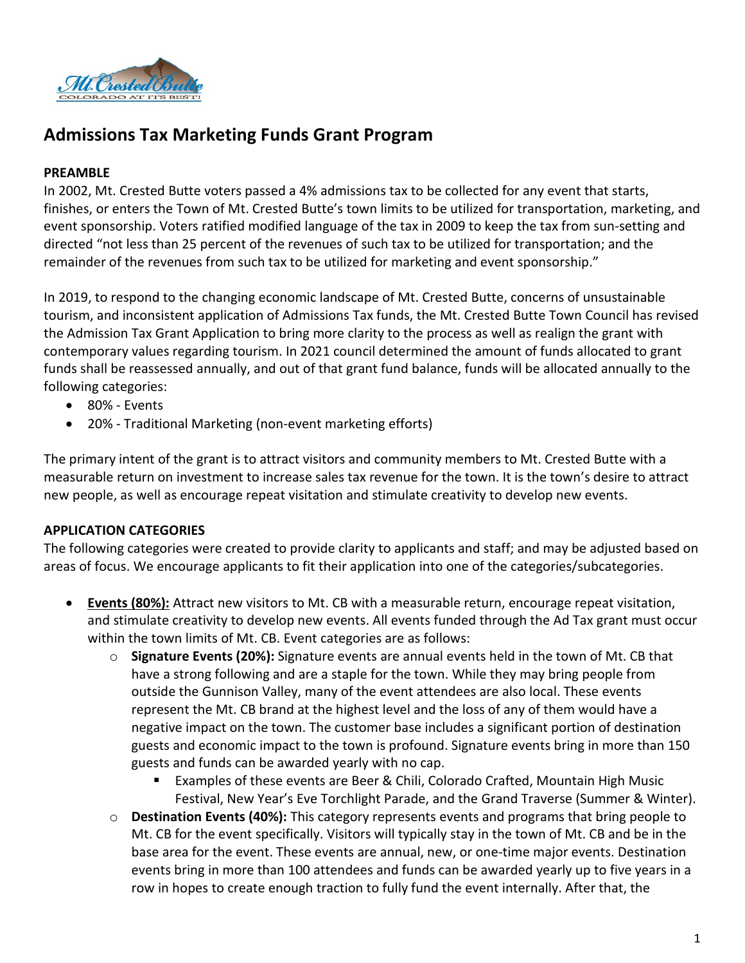

# **Admissions Tax Marketing Funds Grant Program**

# **PREAMBLE**

In 2002, Mt. Crested Butte voters passed a 4% admissions tax to be collected for any event that starts, finishes, or enters the Town of Mt. Crested Butte's town limits to be utilized for transportation, marketing, and event sponsorship. Voters ratified modified language of the tax in 2009 to keep the tax from sun-setting and directed "not less than 25 percent of the revenues of such tax to be utilized for transportation; and the remainder of the revenues from such tax to be utilized for marketing and event sponsorship."

In 2019, to respond to the changing economic landscape of Mt. Crested Butte, concerns of unsustainable tourism, and inconsistent application of Admissions Tax funds, the Mt. Crested Butte Town Council has revised the Admission Tax Grant Application to bring more clarity to the process as well as realign the grant with contemporary values regarding tourism. In 2021 council determined the amount of funds allocated to grant funds shall be reassessed annually, and out of that grant fund balance, funds will be allocated annually to the following categories:

- 80% Events
- 20% Traditional Marketing (non-event marketing efforts)

The primary intent of the grant is to attract visitors and community members to Mt. Crested Butte with a measurable return on investment to increase sales tax revenue for the town. It is the town's desire to attract new people, as well as encourage repeat visitation and stimulate creativity to develop new events.

# **APPLICATION CATEGORIES**

The following categories were created to provide clarity to applicants and staff; and may be adjusted based on areas of focus. We encourage applicants to fit their application into one of the categories/subcategories.

- **Events (80%):** Attract new visitors to Mt. CB with a measurable return, encourage repeat visitation, and stimulate creativity to develop new events. All events funded through the Ad Tax grant must occur within the town limits of Mt. CB. Event categories are as follows:
	- o **Signature Events (20%):** Signature events are annual events held in the town of Mt. CB that have a strong following and are a staple for the town. While they may bring people from outside the Gunnison Valley, many of the event attendees are also local. These events represent the Mt. CB brand at the highest level and the loss of any of them would have a negative impact on the town. The customer base includes a significant portion of destination guests and economic impact to the town is profound. Signature events bring in more than 150 guests and funds can be awarded yearly with no cap.
		- Examples of these events are Beer & Chili, Colorado Crafted, Mountain High Music Festival, New Year's Eve Torchlight Parade, and the Grand Traverse (Summer & Winter).
	- o **Destination Events (40%):** This category represents events and programs that bring people to Mt. CB for the event specifically. Visitors will typically stay in the town of Mt. CB and be in the base area for the event. These events are annual, new, or one-time major events. Destination events bring in more than 100 attendees and funds can be awarded yearly up to five years in a row in hopes to create enough traction to fully fund the event internally. After that, the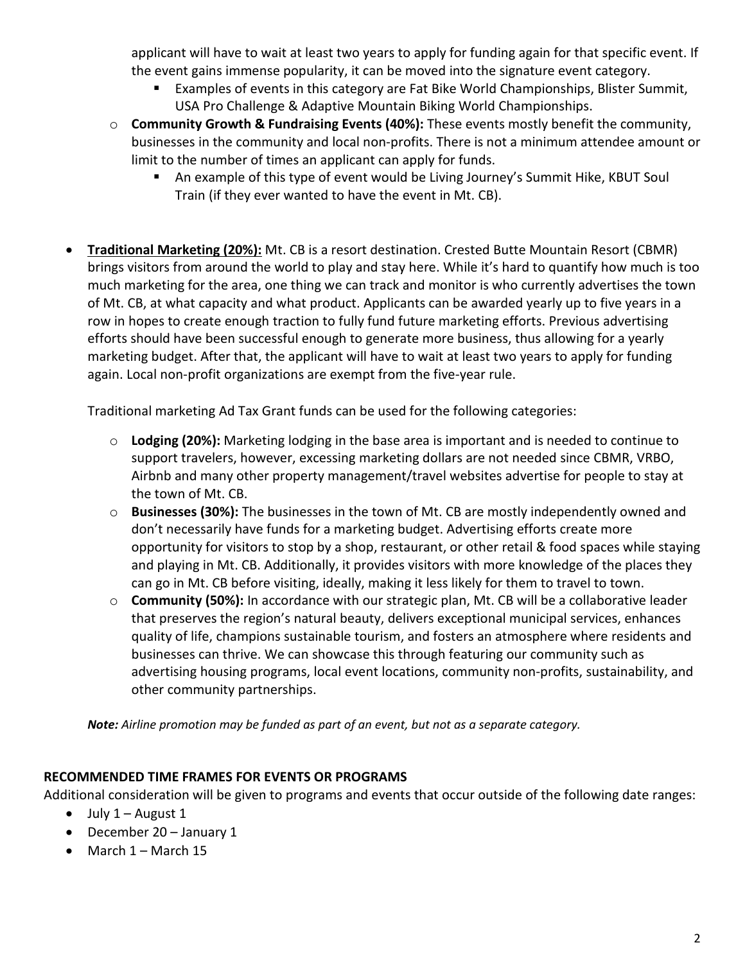applicant will have to wait at least two years to apply for funding again for that specific event. If the event gains immense popularity, it can be moved into the signature event category.

- Examples of events in this category are Fat Bike World Championships, Blister Summit, USA Pro Challenge & Adaptive Mountain Biking World Championships.
- o **Community Growth & Fundraising Events (40%):** These events mostly benefit the community, businesses in the community and local non-profits. There is not a minimum attendee amount or limit to the number of times an applicant can apply for funds.
	- An example of this type of event would be Living Journey's Summit Hike, KBUT Soul Train (if they ever wanted to have the event in Mt. CB).
- **Traditional Marketing (20%):** Mt. CB is a resort destination. Crested Butte Mountain Resort (CBMR) brings visitors from around the world to play and stay here. While it's hard to quantify how much is too much marketing for the area, one thing we can track and monitor is who currently advertises the town of Mt. CB, at what capacity and what product. Applicants can be awarded yearly up to five years in a row in hopes to create enough traction to fully fund future marketing efforts. Previous advertising efforts should have been successful enough to generate more business, thus allowing for a yearly marketing budget. After that, the applicant will have to wait at least two years to apply for funding again. Local non-profit organizations are exempt from the five-year rule.

Traditional marketing Ad Tax Grant funds can be used for the following categories:

- o **Lodging (20%):** Marketing lodging in the base area is important and is needed to continue to support travelers, however, excessing marketing dollars are not needed since CBMR, VRBO, Airbnb and many other property management/travel websites advertise for people to stay at the town of Mt. CB.
- o **Businesses (30%):** The businesses in the town of Mt. CB are mostly independently owned and don't necessarily have funds for a marketing budget. Advertising efforts create more opportunity for visitors to stop by a shop, restaurant, or other retail & food spaces while staying and playing in Mt. CB. Additionally, it provides visitors with more knowledge of the places they can go in Mt. CB before visiting, ideally, making it less likely for them to travel to town.
- o **Community (50%):** In accordance with our strategic plan, Mt. CB will be a collaborative leader that preserves the region's natural beauty, delivers exceptional municipal services, enhances quality of life, champions sustainable tourism, and fosters an atmosphere where residents and businesses can thrive. We can showcase this through featuring our community such as advertising housing programs, local event locations, community non-profits, sustainability, and other community partnerships.

*Note: Airline promotion may be funded as part of an event, but not as a separate category.*

# **RECOMMENDED TIME FRAMES FOR EVENTS OR PROGRAMS**

Additional consideration will be given to programs and events that occur outside of the following date ranges:

- July  $1 -$  August  $1$
- December 20 January 1
- March 1 March 15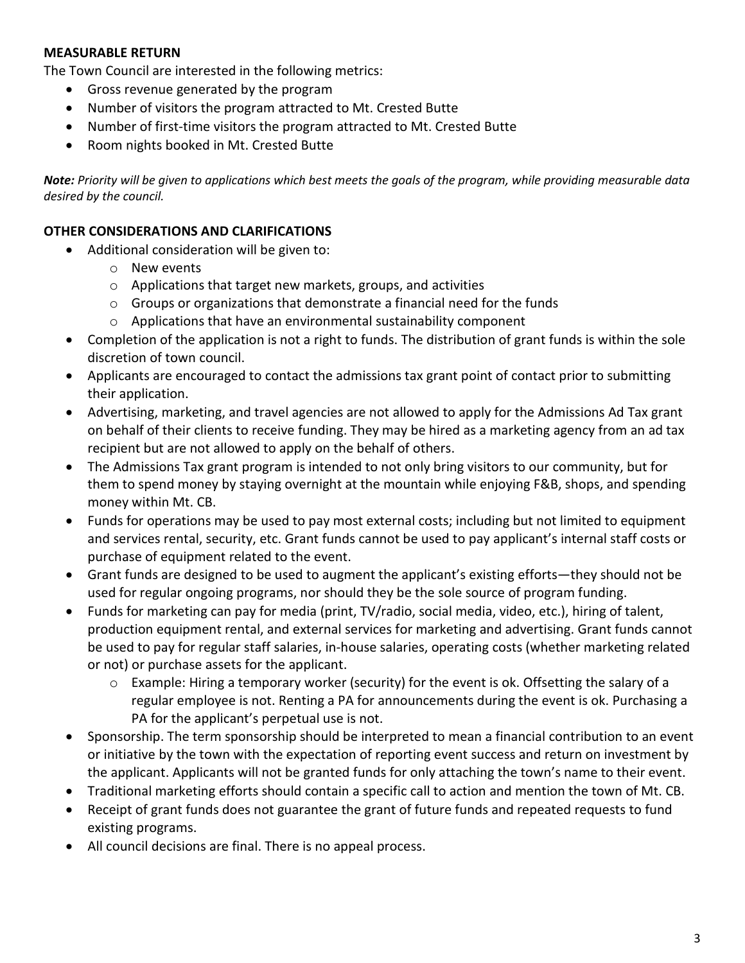## **MEASURABLE RETURN**

The Town Council are interested in the following metrics:

- Gross revenue generated by the program
- Number of visitors the program attracted to Mt. Crested Butte
- Number of first-time visitors the program attracted to Mt. Crested Butte
- Room nights booked in Mt. Crested Butte

*Note: Priority will be given to applications which best meets the goals of the program, while providing measurable data desired by the council.*

#### **OTHER CONSIDERATIONS AND CLARIFICATIONS**

- Additional consideration will be given to:
	- o New events
	- o Applications that target new markets, groups, and activities
	- o Groups or organizations that demonstrate a financial need for the funds
	- o Applications that have an environmental sustainability component
- Completion of the application is not a right to funds. The distribution of grant funds is within the sole discretion of town council.
- Applicants are encouraged to contact the admissions tax grant point of contact prior to submitting their application.
- Advertising, marketing, and travel agencies are not allowed to apply for the Admissions Ad Tax grant on behalf of their clients to receive funding. They may be hired as a marketing agency from an ad tax recipient but are not allowed to apply on the behalf of others.
- The Admissions Tax grant program is intended to not only bring visitors to our community, but for them to spend money by staying overnight at the mountain while enjoying F&B, shops, and spending money within Mt. CB.
- Funds for operations may be used to pay most external costs; including but not limited to equipment and services rental, security, etc. Grant funds cannot be used to pay applicant's internal staff costs or purchase of equipment related to the event.
- Grant funds are designed to be used to augment the applicant's existing efforts—they should not be used for regular ongoing programs, nor should they be the sole source of program funding.
- Funds for marketing can pay for media (print, TV/radio, social media, video, etc.), hiring of talent, production equipment rental, and external services for marketing and advertising. Grant funds cannot be used to pay for regular staff salaries, in-house salaries, operating costs (whether marketing related or not) or purchase assets for the applicant.
	- $\circ$  Example: Hiring a temporary worker (security) for the event is ok. Offsetting the salary of a regular employee is not. Renting a PA for announcements during the event is ok. Purchasing a PA for the applicant's perpetual use is not.
- Sponsorship. The term sponsorship should be interpreted to mean a financial contribution to an event or initiative by the town with the expectation of reporting event success and return on investment by the applicant. Applicants will not be granted funds for only attaching the town's name to their event.
- Traditional marketing efforts should contain a specific call to action and mention the town of Mt. CB.
- Receipt of grant funds does not guarantee the grant of future funds and repeated requests to fund existing programs.
- All council decisions are final. There is no appeal process.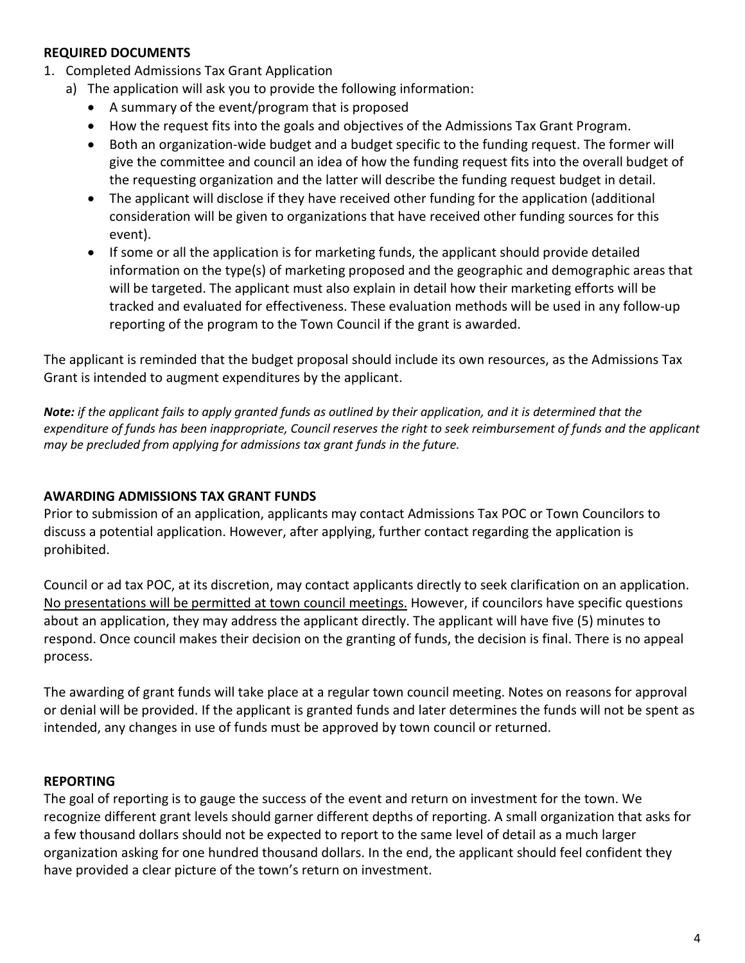# **REQUIRED DOCUMENTS**

- 1. Completed Admissions Tax Grant Application
	- a) The application will ask you to provide the following information:
		- A summary of the event/program that is proposed
		- How the request fits into the goals and objectives of the Admissions Tax Grant Program.
		- Both an organization-wide budget and a budget specific to the funding request. The former will give the committee and council an idea of how the funding request fits into the overall budget of the requesting organization and the latter will describe the funding request budget in detail.
		- The applicant will disclose if they have received other funding for the application (additional consideration will be given to organizations that have received other funding sources for this event).
		- If some or all the application is for marketing funds, the applicant should provide detailed information on the type(s) of marketing proposed and the geographic and demographic areas that will be targeted. The applicant must also explain in detail how their marketing efforts will be tracked and evaluated for effectiveness. These evaluation methods will be used in any follow-up reporting of the program to the Town Council if the grant is awarded.

The applicant is reminded that the budget proposal should include its own resources, as the Admissions Tax Grant is intended to augment expenditures by the applicant.

*Note: if the applicant fails to apply granted funds as outlined by their application, and it is determined that the expenditure of funds has been inappropriate, Council reserves the right to seek reimbursement of funds and the applicant may be precluded from applying for admissions tax grant funds in the future.*

# **AWARDING ADMISSIONS TAX GRANT FUNDS**

Prior to submission of an application, applicants may contact Admissions Tax POC or Town Councilors to discuss a potential application. However, after applying, further contact regarding the application is prohibited.

Council or ad tax POC, at its discretion, may contact applicants directly to seek clarification on an application. No presentations will be permitted at town council meetings. However, if councilors have specific questions about an application, they may address the applicant directly. The applicant will have five (5) minutes to respond. Once council makes their decision on the granting of funds, the decision is final. There is no appeal process.

The awarding of grant funds will take place at a regular town council meeting. Notes on reasons for approval or denial will be provided. If the applicant is granted funds and later determines the funds will not be spent as intended, any changes in use of funds must be approved by town council or returned.

#### **REPORTING**

The goal of reporting is to gauge the success of the event and return on investment for the town. We recognize different grant levels should garner different depths of reporting. A small organization that asks for a few thousand dollars should not be expected to report to the same level of detail as a much larger organization asking for one hundred thousand dollars. In the end, the applicant should feel confident they have provided a clear picture of the town's return on investment.